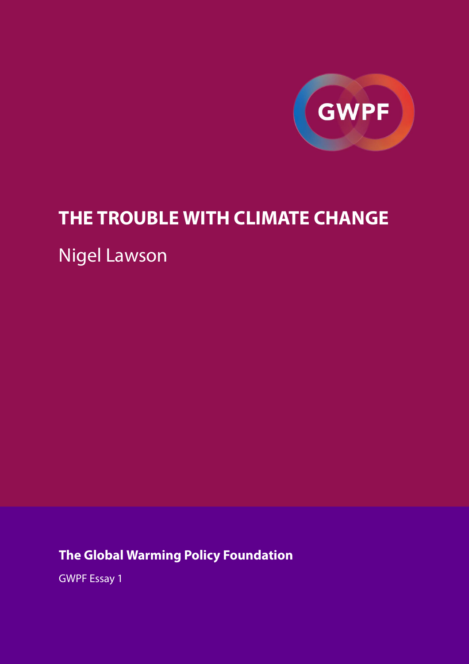

## **THE TROUBLE WITH CLIMATE CHANGE**

Nigel Lawson

**The Global Warming Policy Foundation**

GWPF Essay 1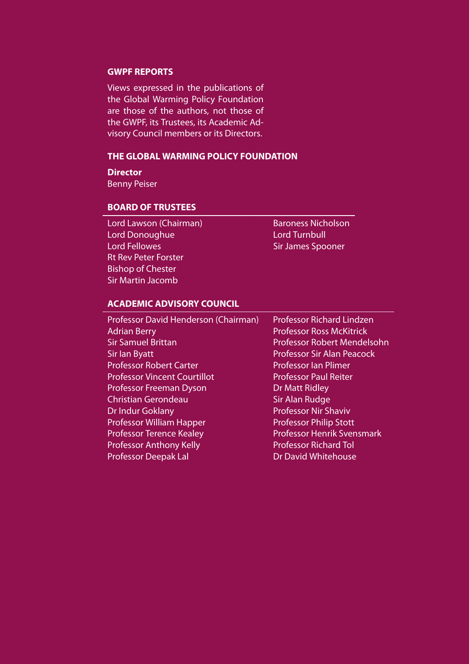#### **GWPF REPORTS**

Views expressed in the publications of the Global Warming Policy Foundation are those of the authors, not those of the GWPF, its Trustees, its Academic Advisory Council members or its Directors.

#### **THE GLOBAL WARMING POLICY FOUNDATION**

**Director** Benny Peiser

#### **BOARD OF TRUSTEES**

Lord Lawson (Chairman) Baroness Nicholson Lord Donoughue Lord Turnbull Lord Fellowes Sir James Spooner Rt Rev Peter Forster Bishop of Chester Sir Martin Jacomb

#### **ACADEMIC ADVISORY COUNCIL**

| Professor David Henderson (Chairman) | <b>Professor Richard Lindzen</b>   |
|--------------------------------------|------------------------------------|
| <b>Adrian Berry</b>                  | <b>Professor Ross McKitrick</b>    |
| <b>Sir Samuel Brittan</b>            | <b>Professor Robert Mendelsohn</b> |
| Sir lan Byatt                        | <b>Professor Sir Alan Peacock</b>  |
| <b>Professor Robert Carter</b>       | <b>Professor lan Plimer</b>        |
| <b>Professor Vincent Courtillot</b>  | <b>Professor Paul Reiter</b>       |
| <b>Professor Freeman Dyson</b>       | Dr Matt Ridley                     |
| <b>Christian Gerondeau</b>           | <b>Sir Alan Rudge</b>              |
| Dr Indur Goklany                     | <b>Professor Nir Shaviv</b>        |
| Professor William Happer             | <b>Professor Philip Stott</b>      |
| <b>Professor Terence Kealey</b>      | <b>Professor Henrik Svensmark</b>  |
| <b>Professor Anthony Kelly</b>       | <b>Professor Richard Tol</b>       |
| <b>Professor Deepak Lal</b>          | Dr David Whitehouse                |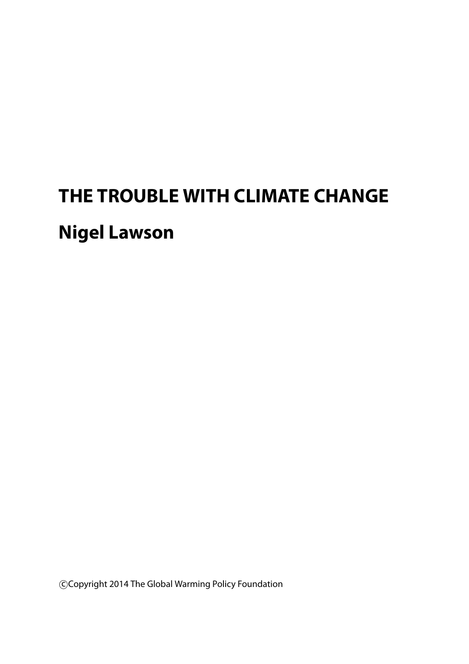# **THE TROUBLE WITH CLIMATE CHANGE Nigel Lawson**

c Copyright 2014 The Global Warming Policy Foundation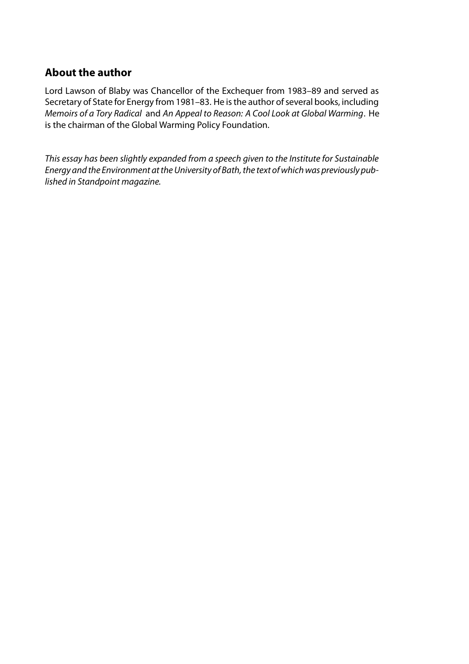### **About the author**

Lord Lawson of Blaby was Chancellor of the Exchequer from 1983–89 and served as Secretary of State for Energy from 1981–83. He is the author of several books, including Memoirs of a Tory Radical and An Appeal to Reason: A Cool Look at Global Warming. He is the chairman of the Global Warming Policy Foundation.

This essay has been slightly expanded from a speech given to the Institute for Sustainable Energy and the Environment at the University of Bath, the text of which was previously published in Standpoint magazine.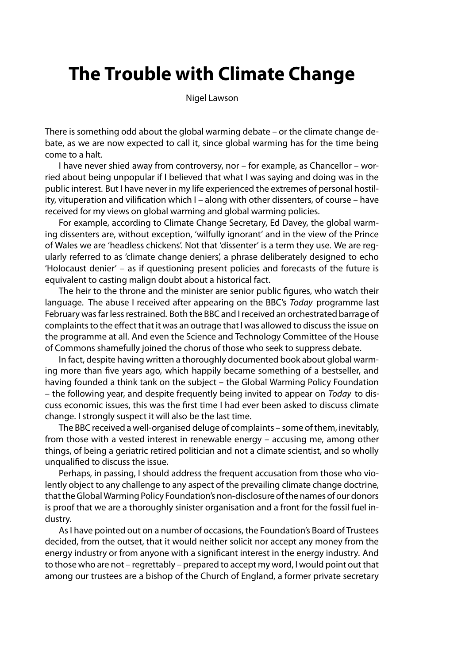## **The Trouble with Climate Change**

Nigel Lawson

There is something odd about the global warming debate – or the climate change debate, as we are now expected to call it, since global warming has for the time being come to a halt.

I have never shied away from controversy, nor – for example, as Chancellor – worried about being unpopular if I believed that what I was saying and doing was in the public interest. But I have never in my life experienced the extremes of personal hostility, vituperation and vilification which I – along with other dissenters, of course – have received for my views on global warming and global warming policies.

For example, according to Climate Change Secretary, Ed Davey, the global warming dissenters are, without exception, 'wilfully ignorant' and in the view of the Prince of Wales we are 'headless chickens'. Not that 'dissenter' is a term they use. We are regularly referred to as 'climate change deniers', a phrase deliberately designed to echo 'Holocaust denier' – as if questioning present policies and forecasts of the future is equivalent to casting malign doubt about a historical fact.

The heir to the throne and the minister are senior public figures, who watch their language. The abuse I received after appearing on the BBC's Today programme last February was far less restrained. Both the BBC and I received an orchestrated barrage of complaints to the effect that it was an outrage that I was allowed to discuss the issue on the programme at all. And even the Science and Technology Committee of the House of Commons shamefully joined the chorus of those who seek to suppress debate.

In fact, despite having written a thoroughly documented book about global warming more than five years ago, which happily became something of a bestseller, and having founded a think tank on the subject – the Global Warming Policy Foundation – the following year, and despite frequently being invited to appear on Today to discuss economic issues, this was the first time I had ever been asked to discuss climate change. I strongly suspect it will also be the last time.

The BBC received a well-organised deluge of complaints – some of them, inevitably, from those with a vested interest in renewable energy – accusing me, among other things, of being a geriatric retired politician and not a climate scientist, and so wholly unqualified to discuss the issue.

Perhaps, in passing, I should address the frequent accusation from those who violently object to any challenge to any aspect of the prevailing climate change doctrine, that the Global Warming Policy Foundation's non-disclosure of the names of our donors is proof that we are a thoroughly sinister organisation and a front for the fossil fuel industry.

As I have pointed out on a number of occasions, the Foundation's Board of Trustees decided, from the outset, that it would neither solicit nor accept any money from the energy industry or from anyone with a significant interest in the energy industry. And to those who are not – regrettably – prepared to accept my word, I would point out that among our trustees are a bishop of the Church of England, a former private secretary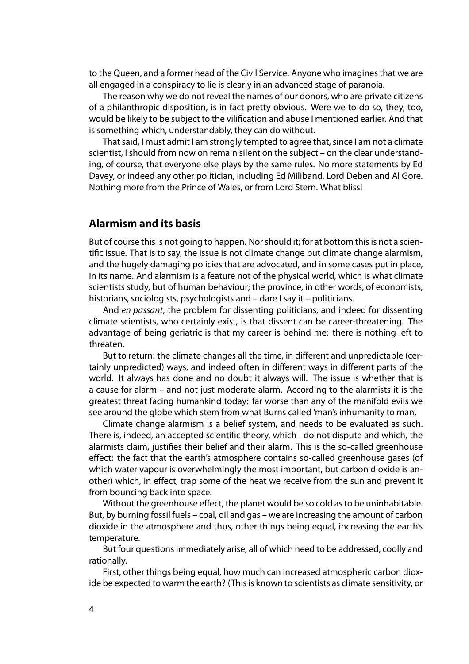to the Queen, and a former head of the Civil Service. Anyone who imagines that we are all engaged in a conspiracy to lie is clearly in an advanced stage of paranoia.

The reason why we do not reveal the names of our donors, who are private citizens of a philanthropic disposition, is in fact pretty obvious. Were we to do so, they, too, would be likely to be subject to the vilification and abuse I mentioned earlier. And that is something which, understandably, they can do without.

That said, I must admit I am strongly tempted to agree that, since I am not a climate scientist, I should from now on remain silent on the subject – on the clear understanding, of course, that everyone else plays by the same rules. No more statements by Ed Davey, or indeed any other politician, including Ed Miliband, Lord Deben and Al Gore. Nothing more from the Prince of Wales, or from Lord Stern. What bliss!

#### **Alarmism and its basis**

But of course this is not going to happen. Nor should it; for at bottom this is not a scientific issue. That is to say, the issue is not climate change but climate change alarmism, and the hugely damaging policies that are advocated, and in some cases put in place, in its name. And alarmism is a feature not of the physical world, which is what climate scientists study, but of human behaviour; the province, in other words, of economists, historians, sociologists, psychologists and – dare I say it – politicians.

And en passant, the problem for dissenting politicians, and indeed for dissenting climate scientists, who certainly exist, is that dissent can be career-threatening. The advantage of being geriatric is that my career is behind me: there is nothing left to threaten.

But to return: the climate changes all the time, in different and unpredictable (certainly unpredicted) ways, and indeed often in different ways in different parts of the world. It always has done and no doubt it always will. The issue is whether that is a cause for alarm – and not just moderate alarm. According to the alarmists it is the greatest threat facing humankind today: far worse than any of the manifold evils we see around the globe which stem from what Burns called 'man's inhumanity to man'.

Climate change alarmism is a belief system, and needs to be evaluated as such. There is, indeed, an accepted scientific theory, which I do not dispute and which, the alarmists claim, justifies their belief and their alarm. This is the so-called greenhouse effect: the fact that the earth's atmosphere contains so-called greenhouse gases (of which water vapour is overwhelmingly the most important, but carbon dioxide is another) which, in effect, trap some of the heat we receive from the sun and prevent it from bouncing back into space.

Without the greenhouse effect, the planet would be so cold as to be uninhabitable. But, by burning fossil fuels – coal, oil and gas – we are increasing the amount of carbon dioxide in the atmosphere and thus, other things being equal, increasing the earth's temperature.

But four questions immediately arise, all of which need to be addressed, coolly and rationally.

First, other things being equal, how much can increased atmospheric carbon dioxide be expected to warm the earth? (This is known to scientists as climate sensitivity, or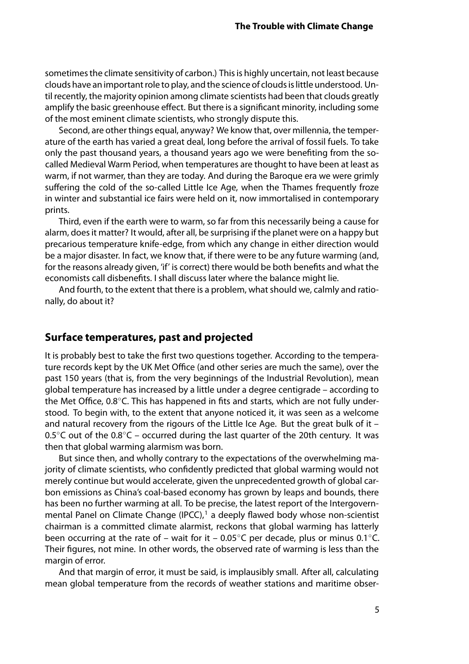sometimes the climate sensitivity of carbon.) This is highly uncertain, not least because clouds have an important role to play, and the science of clouds is little understood. Until recently, the majority opinion among climate scientists had been that clouds greatly amplify the basic greenhouse effect. But there is a significant minority, including some of the most eminent climate scientists, who strongly dispute this.

Second, are other things equal, anyway? We know that, over millennia, the temperature of the earth has varied a great deal, long before the arrival of fossil fuels. To take only the past thousand years, a thousand years ago we were benefiting from the socalled Medieval Warm Period, when temperatures are thought to have been at least as warm, if not warmer, than they are today. And during the Baroque era we were grimly suffering the cold of the so-called Little Ice Age, when the Thames frequently froze in winter and substantial ice fairs were held on it, now immortalised in contemporary prints.

Third, even if the earth were to warm, so far from this necessarily being a cause for alarm, does it matter? It would, after all, be surprising if the planet were on a happy but precarious temperature knife-edge, from which any change in either direction would be a major disaster. In fact, we know that, if there were to be any future warming (and, for the reasons already given, 'if' is correct) there would be both benefits and what the economists call disbenefits. I shall discuss later where the balance might lie.

And fourth, to the extent that there is a problem, what should we, calmly and rationally, do about it?

#### **Surface temperatures, past and projected**

It is probably best to take the first two questions together. According to the temperature records kept by the UK Met Office (and other series are much the same), over the past 150 years (that is, from the very beginnings of the Industrial Revolution), mean global temperature has increased by a little under a degree centigrade – according to the Met Office, 0.8<sup>◦</sup>C. This has happened in fits and starts, which are not fully understood. To begin with, to the extent that anyone noticed it, it was seen as a welcome and natural recovery from the rigours of the Little Ice Age. But the great bulk of it  $-$ 0.5<sup> $\circ$ </sup>C out of the 0.8 $\circ$ C – occurred during the last quarter of the 20th century. It was then that global warming alarmism was born.

But since then, and wholly contrary to the expectations of the overwhelming majority of climate scientists, who confidently predicted that global warming would not merely continue but would accelerate, given the unprecedented growth of global carbon emissions as China's coal-based economy has grown by leaps and bounds, there has been no further warming at all. To be precise, the latest report of the Intergovernmental Panel on Climate Change (IPCC), $1$  a deeply flawed body whose non-scientist chairman is a committed climate alarmist, reckons that global warming has latterly been occurring at the rate of – wait for it – 0.05 $\degree$ C per decade, plus or minus 0.1 $\degree$ C. Their figures, not mine. In other words, the observed rate of warming is less than the margin of error.

And that margin of error, it must be said, is implausibly small. After all, calculating mean global temperature from the records of weather stations and maritime obser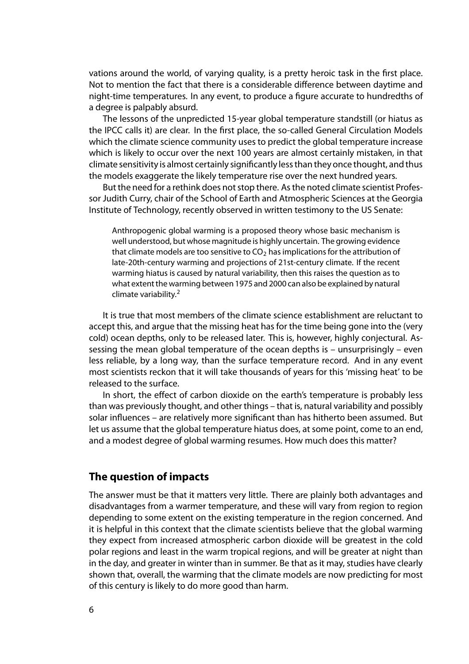vations around the world, of varying quality, is a pretty heroic task in the first place. Not to mention the fact that there is a considerable difference between daytime and night-time temperatures. In any event, to produce a figure accurate to hundredths of a degree is palpably absurd.

The lessons of the unpredicted 15-year global temperature standstill (or hiatus as the IPCC calls it) are clear. In the first place, the so-called General Circulation Models which the climate science community uses to predict the global temperature increase which is likely to occur over the next 100 years are almost certainly mistaken, in that climate sensitivity is almost certainly significantly less than they once thought, and thus the models exaggerate the likely temperature rise over the next hundred years.

But the need for a rethink does not stop there. As the noted climate scientist Professor Judith Curry, chair of the School of Earth and Atmospheric Sciences at the Georgia Institute of Technology, recently observed in written testimony to the US Senate:

Anthropogenic global warming is a proposed theory whose basic mechanism is well understood, but whose magnitude is highly uncertain. The growing evidence that climate models are too sensitive to  $CO<sub>2</sub>$  has implications for the attribution of late-20th-century warming and projections of 21st-century climate. If the recent warming hiatus is caused by natural variability, then this raises the question as to what extent the warming between 1975 and 2000 can also be explained by natural climate variability.<sup>2</sup>

It is true that most members of the climate science establishment are reluctant to accept this, and argue that the missing heat has for the time being gone into the (very cold) ocean depths, only to be released later. This is, however, highly conjectural. Assessing the mean global temperature of the ocean depths is – unsurprisingly – even less reliable, by a long way, than the surface temperature record. And in any event most scientists reckon that it will take thousands of years for this 'missing heat' to be released to the surface.

In short, the effect of carbon dioxide on the earth's temperature is probably less than was previously thought, and other things – that is, natural variability and possibly solar influences – are relatively more significant than has hitherto been assumed. But let us assume that the global temperature hiatus does, at some point, come to an end, and a modest degree of global warming resumes. How much does this matter?

#### **The question of impacts**

The answer must be that it matters very little. There are plainly both advantages and disadvantages from a warmer temperature, and these will vary from region to region depending to some extent on the existing temperature in the region concerned. And it is helpful in this context that the climate scientists believe that the global warming they expect from increased atmospheric carbon dioxide will be greatest in the cold polar regions and least in the warm tropical regions, and will be greater at night than in the day, and greater in winter than in summer. Be that as it may, studies have clearly shown that, overall, the warming that the climate models are now predicting for most of this century is likely to do more good than harm.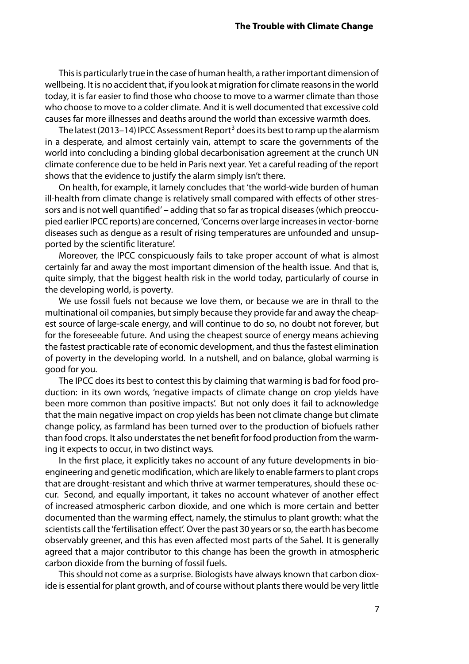This is particularly true in the case of human health, a rather important dimension of wellbeing. It is no accident that, if you look at migration for climate reasons in the world today, it is far easier to find those who choose to move to a warmer climate than those who choose to move to a colder climate. And it is well documented that excessive cold causes far more illnesses and deaths around the world than excessive warmth does.

The latest (2013–14) IPCC Assessment Report<sup>3</sup> does its best to ramp up the alarmism in a desperate, and almost certainly vain, attempt to scare the governments of the world into concluding a binding global decarbonisation agreement at the crunch UN climate conference due to be held in Paris next year. Yet a careful reading of the report shows that the evidence to justify the alarm simply isn't there.

On health, for example, it lamely concludes that 'the world-wide burden of human ill-health from climate change is relatively small compared with effects of other stressors and is not well quantified' – adding that so far as tropical diseases (which preoccupied earlier IPCC reports) are concerned, 'Concerns over large increases in vector-borne diseases such as dengue as a result of rising temperatures are unfounded and unsupported by the scientific literature'.

Moreover, the IPCC conspicuously fails to take proper account of what is almost certainly far and away the most important dimension of the health issue. And that is, quite simply, that the biggest health risk in the world today, particularly of course in the developing world, is poverty.

We use fossil fuels not because we love them, or because we are in thrall to the multinational oil companies, but simply because they provide far and away the cheapest source of large-scale energy, and will continue to do so, no doubt not forever, but for the foreseeable future. And using the cheapest source of energy means achieving the fastest practicable rate of economic development, and thus the fastest elimination of poverty in the developing world. In a nutshell, and on balance, global warming is good for you.

The IPCC does its best to contest this by claiming that warming is bad for food production: in its own words, 'negative impacts of climate change on crop yields have been more common than positive impacts'. But not only does it fail to acknowledge that the main negative impact on crop yields has been not climate change but climate change policy, as farmland has been turned over to the production of biofuels rather than food crops. It also understates the net benefit for food production from the warming it expects to occur, in two distinct ways.

In the first place, it explicitly takes no account of any future developments in bioengineering and genetic modification, which are likely to enable farmers to plant crops that are drought-resistant and which thrive at warmer temperatures, should these occur. Second, and equally important, it takes no account whatever of another effect of increased atmospheric carbon dioxide, and one which is more certain and better documented than the warming effect, namely, the stimulus to plant growth: what the scientists call the 'fertilisation effect'. Over the past 30 years or so, the earth has become observably greener, and this has even affected most parts of the Sahel. It is generally agreed that a major contributor to this change has been the growth in atmospheric carbon dioxide from the burning of fossil fuels.

This should not come as a surprise. Biologists have always known that carbon dioxide is essential for plant growth, and of course without plants there would be very little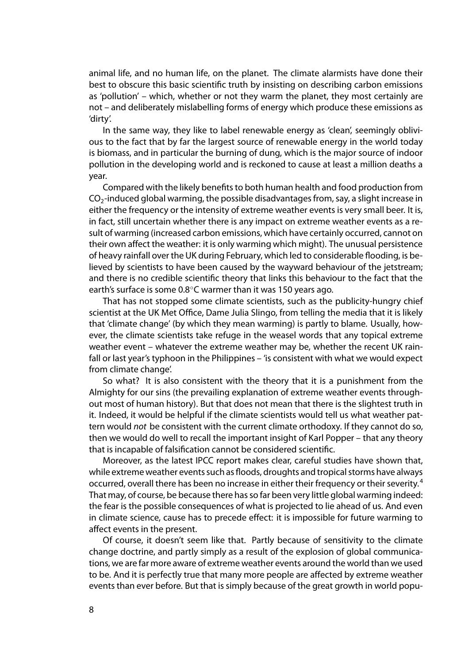animal life, and no human life, on the planet. The climate alarmists have done their best to obscure this basic scientific truth by insisting on describing carbon emissions as 'pollution' – which, whether or not they warm the planet, they most certainly are not – and deliberately mislabelling forms of energy which produce these emissions as 'dirty'.

In the same way, they like to label renewable energy as 'clean', seemingly oblivious to the fact that by far the largest source of renewable energy in the world today is biomass, and in particular the burning of dung, which is the major source of indoor pollution in the developing world and is reckoned to cause at least a million deaths a year.

Compared with the likely benefits to both human health and food production from  $CO<sub>2</sub>$ -induced global warming, the possible disadvantages from, say, a slight increase in either the frequency or the intensity of extreme weather events is very small beer. It is, in fact, still uncertain whether there is any impact on extreme weather events as a result of warming (increased carbon emissions, which have certainly occurred, cannot on their own affect the weather: it is only warming which might). The unusual persistence of heavy rainfall over the UK during February, which led to considerable flooding, is believed by scientists to have been caused by the wayward behaviour of the jetstream; and there is no credible scientific theory that links this behaviour to the fact that the earth's surface is some 0.8℃ warmer than it was 150 years ago.

That has not stopped some climate scientists, such as the publicity-hungry chief scientist at the UK Met Office, Dame Julia Slingo, from telling the media that it is likely that 'climate change' (by which they mean warming) is partly to blame. Usually, however, the climate scientists take refuge in the weasel words that any topical extreme weather event – whatever the extreme weather may be, whether the recent UK rainfall or last year's typhoon in the Philippines – 'is consistent with what we would expect from climate change'.

So what? It is also consistent with the theory that it is a punishment from the Almighty for our sins (the prevailing explanation of extreme weather events throughout most of human history). But that does not mean that there is the slightest truth in it. Indeed, it would be helpful if the climate scientists would tell us what weather pattern would not be consistent with the current climate orthodoxy. If they cannot do so, then we would do well to recall the important insight of Karl Popper – that any theory that is incapable of falsification cannot be considered scientific.

Moreover, as the latest IPCC report makes clear, careful studies have shown that, while extreme weather events such as floods, droughts and tropical storms have always occurred, overall there has been no increase in either their frequency or their severity.<sup>4</sup> That may, of course, be because there has so far been very little global warming indeed: the fear is the possible consequences of what is projected to lie ahead of us. And even in climate science, cause has to precede effect: it is impossible for future warming to affect events in the present.

Of course, it doesn't seem like that. Partly because of sensitivity to the climate change doctrine, and partly simply as a result of the explosion of global communications, we are far more aware of extreme weather events around the world than we used to be. And it is perfectly true that many more people are affected by extreme weather events than ever before. But that is simply because of the great growth in world popu-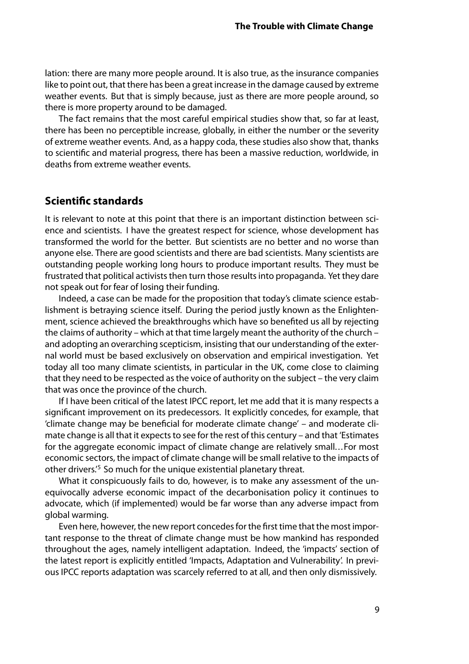lation: there are many more people around. It is also true, as the insurance companies like to point out, that there has been a great increase in the damage caused by extreme weather events. But that is simply because, just as there are more people around, so there is more property around to be damaged.

The fact remains that the most careful empirical studies show that, so far at least, there has been no perceptible increase, globally, in either the number or the severity of extreme weather events. And, as a happy coda, these studies also show that, thanks to scientific and material progress, there has been a massive reduction, worldwide, in deaths from extreme weather events.

#### **Scientific standards**

It is relevant to note at this point that there is an important distinction between science and scientists. I have the greatest respect for science, whose development has transformed the world for the better. But scientists are no better and no worse than anyone else. There are good scientists and there are bad scientists. Many scientists are outstanding people working long hours to produce important results. They must be frustrated that political activists then turn those results into propaganda. Yet they dare not speak out for fear of losing their funding.

Indeed, a case can be made for the proposition that today's climate science establishment is betraying science itself. During the period justly known as the Enlightenment, science achieved the breakthroughs which have so benefited us all by rejecting the claims of authority – which at that time largely meant the authority of the church – and adopting an overarching scepticism, insisting that our understanding of the external world must be based exclusively on observation and empirical investigation. Yet today all too many climate scientists, in particular in the UK, come close to claiming that they need to be respected as the voice of authority on the subject – the very claim that was once the province of the church.

If I have been critical of the latest IPCC report, let me add that it is many respects a significant improvement on its predecessors. It explicitly concedes, for example, that 'climate change may be beneficial for moderate climate change' – and moderate climate change is all that it expects to see for the rest of this century – and that 'Estimates for the aggregate economic impact of climate change are relatively small... For most economic sectors, the impact of climate change will be small relative to the impacts of other drivers.<sup>'5</sup> So much for the unique existential planetary threat.

What it conspicuously fails to do, however, is to make any assessment of the unequivocally adverse economic impact of the decarbonisation policy it continues to advocate, which (if implemented) would be far worse than any adverse impact from global warming.

Even here, however, the new report concedes for the first time that the most important response to the threat of climate change must be how mankind has responded throughout the ages, namely intelligent adaptation. Indeed, the 'impacts' section of the latest report is explicitly entitled 'Impacts, Adaptation and Vulnerability'. In previous IPCC reports adaptation was scarcely referred to at all, and then only dismissively.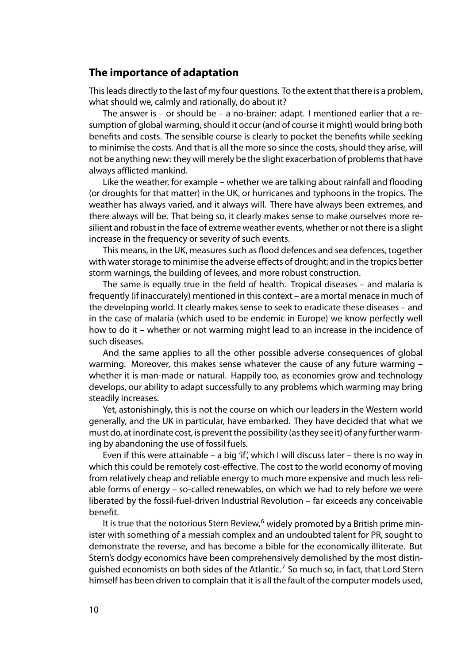#### **The importance of adaptation**

This leads directly to the last of my four questions. To the extent that there is a problem, what should we, calmly and rationally, do about it?

The answer is – or should be – a no-brainer: adapt. I mentioned earlier that a resumption of global warming, should it occur (and of course it might) would bring both benefits and costs. The sensible course is clearly to pocket the benefits while seeking to minimise the costs. And that is all the more so since the costs, should they arise, will not be anything new: they will merely be the slight exacerbation of problems that have always afflicted mankind.

Like the weather, for example – whether we are talking about rainfall and flooding (or droughts for that matter) in the UK, or hurricanes and typhoons in the tropics. The weather has always varied, and it always will. There have always been extremes, and there always will be. That being so, it clearly makes sense to make ourselves more resilient and robust in the face of extreme weather events, whether or not there is a slight increase in the frequency or severity of such events.

This means, in the UK, measures such as flood defences and sea defences, together with water storage to minimise the adverse effects of drought; and in the tropics better storm warnings, the building of levees, and more robust construction.

The same is equally true in the field of health. Tropical diseases – and malaria is frequently (if inaccurately) mentioned in this context – are a mortal menace in much of the developing world. It clearly makes sense to seek to eradicate these diseases – and in the case of malaria (which used to be endemic in Europe) we know perfectly well how to do it – whether or not warming might lead to an increase in the incidence of such diseases.

And the same applies to all the other possible adverse consequences of global warming. Moreover, this makes sense whatever the cause of any future warming – whether it is man-made or natural. Happily too, as economies grow and technology develops, our ability to adapt successfully to any problems which warming may bring steadily increases.

Yet, astonishingly, this is not the course on which our leaders in the Western world generally, and the UK in particular, have embarked. They have decided that what we must do, at inordinate cost, is prevent the possibility (as they see it) of anyfurther warming by abandoning the use of fossil fuels.

Even if this were attainable – a big 'if', which I will discuss later – there is no way in which this could be remotely cost-effective. The cost to the world economy of moving from relatively cheap and reliable energy to much more expensive and much less reliable forms of energy – so-called renewables, on which we had to rely before we were liberated by the fossil-fuel-driven Industrial Revolution – far exceeds any conceivable benefit.

It is true that the notorious Stern Review, $6$  widely promoted by a British prime minister with something of a messiah complex and an undoubted talent for PR, sought to demonstrate the reverse, and has become a bible for the economically illiterate. But Stern's dodgy economics have been comprehensively demolished by the most distinquished economists on both sides of the Atlantic.<sup>7</sup> So much so, in fact, that Lord Stern himself has been driven to complain that it is all the fault of the computer models used,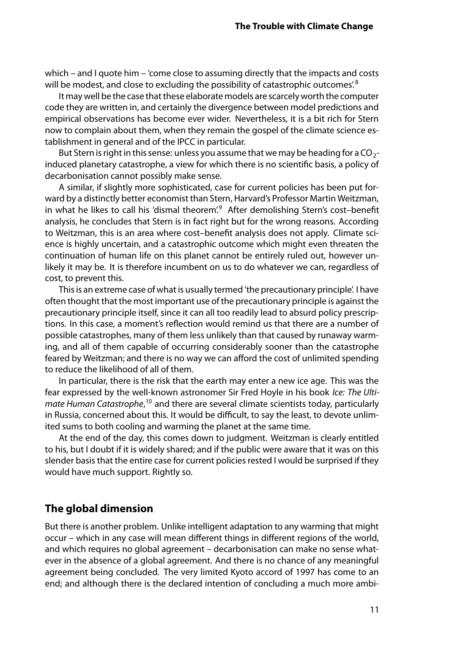which – and I quote him – 'come close to assuming directly that the impacts and costs will be modest, and close to excluding the possibility of catastrophic outcomes.<sup>8</sup>

It may well be the case that these elaborate models are scarcely worth the computer code they are written in, and certainly the divergence between model predictions and empirical observations has become ever wider. Nevertheless, it is a bit rich for Stern now to complain about them, when they remain the gospel of the climate science establishment in general and of the IPCC in particular.

But Stern is right in this sense: unless you assume that we may be heading for a  $CO_{2}$ induced planetary catastrophe, a view for which there is no scientific basis, a policy of decarbonisation cannot possibly make sense.

A similar, if slightly more sophisticated, case for current policies has been put forward by a distinctly better economist than Stern, Harvard's Professor Martin Weitzman, in what he likes to call his 'dismal theorem'.<sup>9</sup> After demolishing Stern's cost–benefit analysis, he concludes that Stern is in fact right but for the wrong reasons. According to Weitzman, this is an area where cost–benefit analysis does not apply. Climate science is highly uncertain, and a catastrophic outcome which might even threaten the continuation of human life on this planet cannot be entirely ruled out, however unlikely it may be. It is therefore incumbent on us to do whatever we can, regardless of cost, to prevent this.

This is an extreme case of what is usually termed 'the precautionary principle'. I have often thought that the most important use of the precautionary principle is against the precautionary principle itself, since it can all too readily lead to absurd policy prescriptions. In this case, a moment's reflection would remind us that there are a number of possible catastrophes, many of them less unlikely than that caused by runaway warming, and all of them capable of occurring considerably sooner than the catastrophe feared by Weitzman; and there is no way we can afford the cost of unlimited spending to reduce the likelihood of all of them.

In particular, there is the risk that the earth may enter a new ice age. This was the fear expressed by the well-known astronomer Sir Fred Hoyle in his book Ice: The Ultimate Human Catastrophe,<sup>10</sup> and there are several climate scientists today, particularly in Russia, concerned about this. It would be difficult, to say the least, to devote unlimited sums to both cooling and warming the planet at the same time.

At the end of the day, this comes down to judgment. Weitzman is clearly entitled to his, but I doubt if it is widely shared; and if the public were aware that it was on this slender basis that the entire case for current policies rested I would be surprised if they would have much support. Rightly so.

#### **The global dimension**

But there is another problem. Unlike intelligent adaptation to any warming that might occur – which in any case will mean different things in different regions of the world, and which requires no global agreement – decarbonisation can make no sense whatever in the absence of a global agreement. And there is no chance of any meaningful agreement being concluded. The very limited Kyoto accord of 1997 has come to an end; and although there is the declared intention of concluding a much more ambi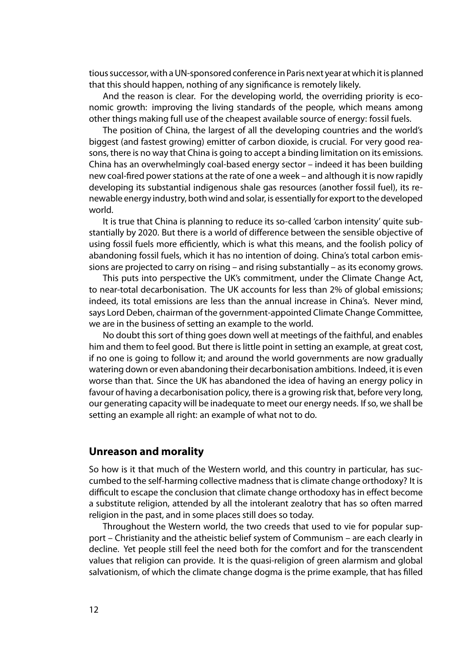tious successor, with a UN-sponsored conference in Paris next year at which it is planned that this should happen, nothing of any significance is remotely likely.

And the reason is clear. For the developing world, the overriding priority is economic growth: improving the living standards of the people, which means among other things making full use of the cheapest available source of energy: fossil fuels.

The position of China, the largest of all the developing countries and the world's biggest (and fastest growing) emitter of carbon dioxide, is crucial. For very good reasons, there is no way that China is going to accept a binding limitation on its emissions. China has an overwhelmingly coal-based energy sector – indeed it has been building new coal-fired power stations at the rate of one a week – and although it is now rapidly developing its substantial indigenous shale gas resources (another fossil fuel), its renewable energy industry, both wind and solar, is essentially for export to the developed world.

It is true that China is planning to reduce its so-called 'carbon intensity' quite substantially by 2020. But there is a world of difference between the sensible objective of using fossil fuels more efficiently, which is what this means, and the foolish policy of abandoning fossil fuels, which it has no intention of doing. China's total carbon emissions are projected to carry on rising – and rising substantially – as its economy grows.

This puts into perspective the UK's commitment, under the Climate Change Act, to near-total decarbonisation. The UK accounts for less than 2% of global emissions; indeed, its total emissions are less than the annual increase in China's. Never mind, says Lord Deben, chairman of the government-appointed Climate Change Committee, we are in the business of setting an example to the world.

No doubt this sort of thing goes down well at meetings of the faithful, and enables him and them to feel good. But there is little point in setting an example, at great cost, if no one is going to follow it; and around the world governments are now gradually watering down or even abandoning their decarbonisation ambitions. Indeed, it is even worse than that. Since the UK has abandoned the idea of having an energy policy in favour of having a decarbonisation policy, there is a growing risk that, before very long, our generating capacity will be inadequate to meet our energy needs. If so, we shall be setting an example all right: an example of what not to do.

#### **Unreason and morality**

So how is it that much of the Western world, and this country in particular, has succumbed to the self-harming collective madness that is climate change orthodoxy? It is difficult to escape the conclusion that climate change orthodoxy has in effect become a substitute religion, attended by all the intolerant zealotry that has so often marred religion in the past, and in some places still does so today.

Throughout the Western world, the two creeds that used to vie for popular support – Christianity and the atheistic belief system of Communism – are each clearly in decline. Yet people still feel the need both for the comfort and for the transcendent values that religion can provide. It is the quasi-religion of green alarmism and global salvationism, of which the climate change dogma is the prime example, that has filled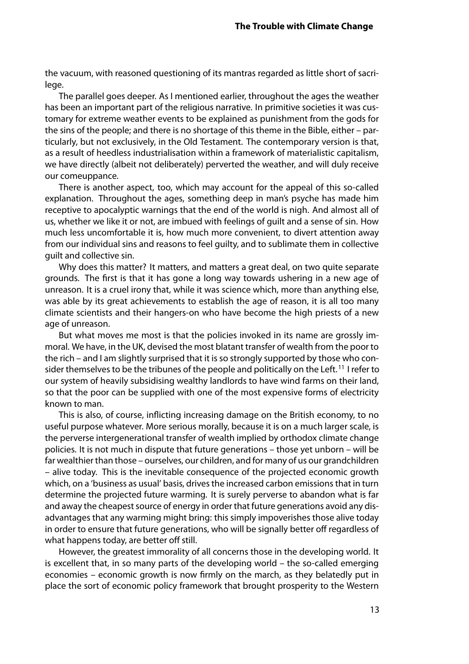the vacuum, with reasoned questioning of its mantras regarded as little short of sacrilege.

The parallel goes deeper. As I mentioned earlier, throughout the ages the weather has been an important part of the religious narrative. In primitive societies it was customary for extreme weather events to be explained as punishment from the gods for the sins of the people; and there is no shortage of this theme in the Bible, either – particularly, but not exclusively, in the Old Testament. The contemporary version is that, as a result of heedless industrialisation within a framework of materialistic capitalism, we have directly (albeit not deliberately) perverted the weather, and will duly receive our comeuppance.

There is another aspect, too, which may account for the appeal of this so-called explanation. Throughout the ages, something deep in man's psyche has made him receptive to apocalyptic warnings that the end of the world is nigh. And almost all of us, whether we like it or not, are imbued with feelings of guilt and a sense of sin. How much less uncomfortable it is, how much more convenient, to divert attention away from our individual sins and reasons to feel guilty, and to sublimate them in collective guilt and collective sin.

Why does this matter? It matters, and matters a great deal, on two quite separate grounds. The first is that it has gone a long way towards ushering in a new age of unreason. It is a cruel irony that, while it was science which, more than anything else, was able by its great achievements to establish the age of reason, it is all too many climate scientists and their hangers-on who have become the high priests of a new age of unreason.

But what moves me most is that the policies invoked in its name are grossly immoral. We have, in the UK, devised the most blatant transfer of wealth from the poor to the rich – and I am slightly surprised that it is so strongly supported by those who consider themselves to be the tribunes of the people and politically on the Left.<sup>11</sup> I refer to our system of heavily subsidising wealthy landlords to have wind farms on their land, so that the poor can be supplied with one of the most expensive forms of electricity known to man.

This is also, of course, inflicting increasing damage on the British economy, to no useful purpose whatever. More serious morally, because it is on a much larger scale, is the perverse intergenerational transfer of wealth implied by orthodox climate change policies. It is not much in dispute that future generations – those yet unborn – will be far wealthier than those – ourselves, our children, and for many of us our grandchildren – alive today. This is the inevitable consequence of the projected economic growth which, on a 'business as usual' basis, drives the increased carbon emissions that in turn determine the projected future warming. It is surely perverse to abandon what is far and away the cheapest source of energy in order that future generations avoid any disadvantages that any warming might bring: this simply impoverishes those alive today in order to ensure that future generations, who will be signally better off regardless of what happens today, are better off still.

However, the greatest immorality of all concerns those in the developing world. It is excellent that, in so many parts of the developing world – the so-called emerging economies – economic growth is now firmly on the march, as they belatedly put in place the sort of economic policy framework that brought prosperity to the Western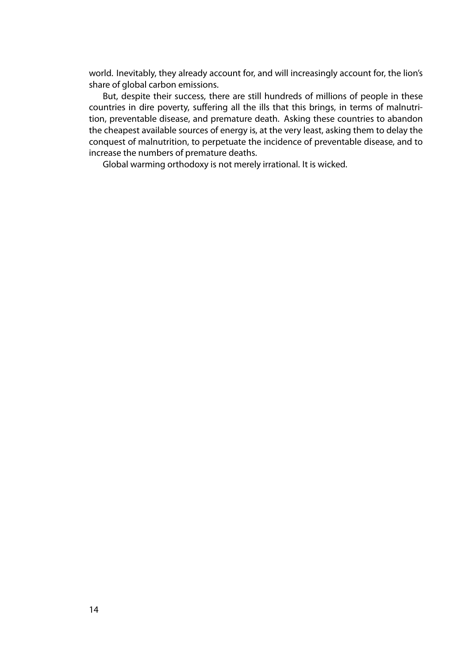world. Inevitably, they already account for, and will increasingly account for, the lion's share of global carbon emissions.

But, despite their success, there are still hundreds of millions of people in these countries in dire poverty, suffering all the ills that this brings, in terms of malnutrition, preventable disease, and premature death. Asking these countries to abandon the cheapest available sources of energy is, at the very least, asking them to delay the conquest of malnutrition, to perpetuate the incidence of preventable disease, and to increase the numbers of premature deaths.

Global warming orthodoxy is not merely irrational. It is wicked.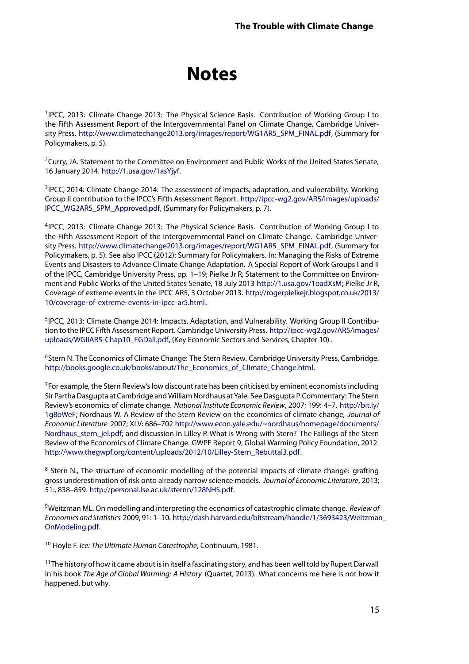## **Notes**

1IPCC, 2013: Climate Change 2013: The Physical Science Basis. Contribution of Working Group I to the Fifth Assessment Report of the Intergovernmental Panel on Climate Change, Cambridge University Press. [http://www.climatechange2013.org/images/report/WG1AR5\\_SPM\\_FINAL.pdf](http://www.climatechange2013.org/images/report/WG1AR5_SPM_FINAL.pdf), (Summary for Policymakers, p. 5).

 $2$ Curry, JA. Statement to the Committee on Environment and Public Works of the United States Senate, 16 January 2014. [http://1.usa.gov/1asYjyf.](http://1.usa.gov/1asYjyf)

<sup>3</sup> IPCC, 2014: Climate Change 2014: The assessment of impacts, adaptation, and vulnerability. Working Group II contribution to the IPCC's Fifth Assessment Report. [http://ipcc-wg2.gov/AR5/images/uploads/](http://ipcc-wg2.gov/AR5/images/uploads/IPCC_WG2AR5_SPM_Approved.pdf) [IPCC\\_WG2AR5\\_SPM\\_Approved.pdf](http://ipcc-wg2.gov/AR5/images/uploads/IPCC_WG2AR5_SPM_Approved.pdf), (Summary for Policymakers, p. 7).

4IPCC, 2013: Climate Change 2013: The Physical Science Basis. Contribution of Working Group I to the Fifth Assessment Report of the Intergovernmental Panel on Climate Change. Cambridge University Press. [http://www.climatechange2013.org/images/report/WG1AR5\\_SPM\\_FINAL.pdf](http://www.climatechange2013.org/images/report/WG1AR5_SPM_FINAL.pdf), (Summary for Policymakers, p. 5). See also IPCC (2012): Summary for Policymakers. In: Managing the Risks of Extreme Events and Disasters to Advance Climate Change Adaptation. A Special Report of Work Groups I and II of the IPCC, Cambridge University Press, pp. 1–19; Pielke Jr R, Statement to the Committee on Environment and Public Works of the United States Senate, 18 July 2013 [http://1.usa.gov/1oadXsM;](http://1.usa.gov/1oadXsM) Pielke Jr R, Coverage of extreme events in the IPCC AR5, 3 October 2013. [http://rogerpielkejr.blogspot.co.uk/2013/](http://rogerpielkejr.blogspot.co.uk/2013/10/coverage-of-extreme-events-in-ipcc-ar5.html) [10/coverage-of-extreme-events-in-ipcc-ar5.html](http://rogerpielkejr.blogspot.co.uk/2013/10/coverage-of-extreme-events-in-ipcc-ar5.html).

<sup>5</sup>IPCC, 2013: Climate Change 2014: Impacts, Adaptation, and Vulnerability. Working Group II Contribution to the IPCC Fifth Assessment Report. Cambridge University Press. [http://ipcc-wg2.gov/AR5/images/](http://ipcc-wg2.gov/AR5/images/uploads/WGIIAR5-Chap10_FGDall.pdf) [uploads/WGIIAR5-Chap10\\_FGDall.pdf](http://ipcc-wg2.gov/AR5/images/uploads/WGIIAR5-Chap10_FGDall.pdf), (Key Economic Sectors and Services, Chapter 10) .

6Stern N. The Economics of Climate Change: The Stern Review. Cambridge University Press, Cambridge. [http://books.google.co.uk/books/about/The\\_Economics\\_of\\_Climate\\_Change.html](http://books.google.co.uk/books/about/The_Economics_of_Climate_Change.html).

<sup>7</sup> For example, the Stern Review's low discount rate has been criticised by eminent economists including Sir Partha Dasgupta at Cambridge and William Nordhaus at Yale. See Dasgupta P. Commentary: The Stern Review's economics of climate change. National Institute Economic Review, 2007; 199: 4–7. [http://bit.ly/](http://bit.ly/1g8oWeF) [1g8oWeF](http://bit.ly/1g8oWeF); Nordhaus W. A Review of the Stern Review on the economics of climate change, Journal of Economic Literature 2007; XLV: 686–702 [http://www.econ.yale.edu/~nordhaus/homepage/documents/](http://www.econ.yale.edu/~nordhaus/homepage/documents/Nordhaus_stern_jel.pdf) [Nordhaus\\_stern\\_jel.pdf;](http://www.econ.yale.edu/~nordhaus/homepage/documents/Nordhaus_stern_jel.pdf) and discussion in Lilley P. What is Wrong with Stern? The Failings of the Stern Review of the Economics of Climate Change. GWPF Report 9, Global Warming Policy Foundation, 2012. [http://www.thegwpf.org/content/uploads/2012/10/Lilley-Stern\\_Rebuttal3.pdf.](http://www.thegwpf.org/content/uploads/2012/10/Lilley-Stern_Rebuttal3.pdf)

<sup>8</sup> Stern N., The structure of economic modelling of the potential impacts of climate change: grafting gross underestimation of risk onto already narrow science models. Journal of Economic Literature, 2013; 51:, 838–859. [http://personal.lse.ac.uk/sternn/128NHS.pdf.](http://personal.lse.ac.uk/sternn/128NHS.pdf)

<sup>9</sup>Weitzman ML. On modelling and interpreting the economics of catastrophic climate change. Review of Economics and Statistics 2009; 91: 1–10. [http://dash.harvard.edu/bitstream/handle/1/3693423/Weitzman\\_](http://dash.harvard.edu/bitstream/handle/1/3693423/Weitzman_OnModeling.pdf) [OnModeling.pdf](http://dash.harvard.edu/bitstream/handle/1/3693423/Weitzman_OnModeling.pdf).

<sup>10</sup> Hoyle F. Ice: The Ultimate Human Catastrophe, Continuum, 1981.

 $11$ The history of how it came about is in itself a fascinating story, and has been well told by Rupert Darwall in his book The Age of Global Warming: A History (Quartet, 2013). What concerns me here is not how it happened, but why.